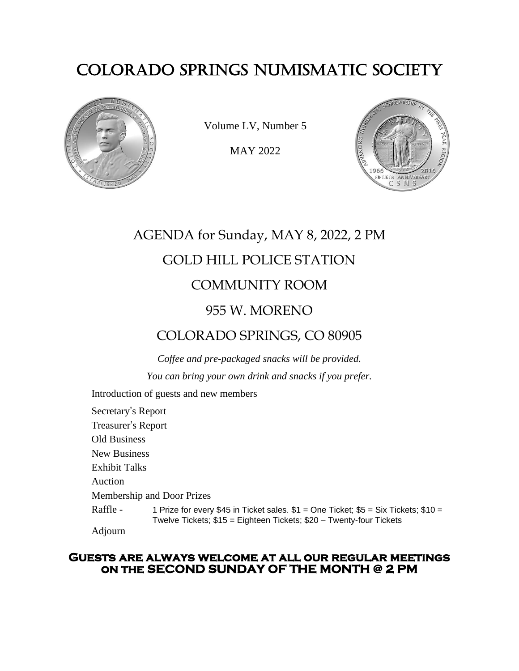# COLORADO SPRINGS NUMISMATIC SOCIETY



Volume LV, Number 5

MAY 2022



# AGENDA for Sunday, MAY 8, 2022, 2 PM GOLD HILL POLICE STATION COMMUNITY ROOM 955 W. MORENO

## COLORADO SPRINGS, CO 80905

*Coffee and pre-packaged snacks will be provided. You can bring your own drink and snacks if you prefer.*

Introduction of guests and new members

Secretary's Report Treasurer's Report Old Business New Business Exhibit Talks Auction Membership and Door Prizes Raffle - 1 Prize for every \$45 in Ticket sales.  $$1 = One$  Ticket;  $$5 = Six$  Tickets;  $$10 =$ Twelve Tickets; \$15 = Eighteen Tickets; \$20 – Twenty-four Tickets Adjourn

#### **Guests are always welcome at all our regular meetings on the SECOND SUNDAY OF THE MONTH @ 2 PM**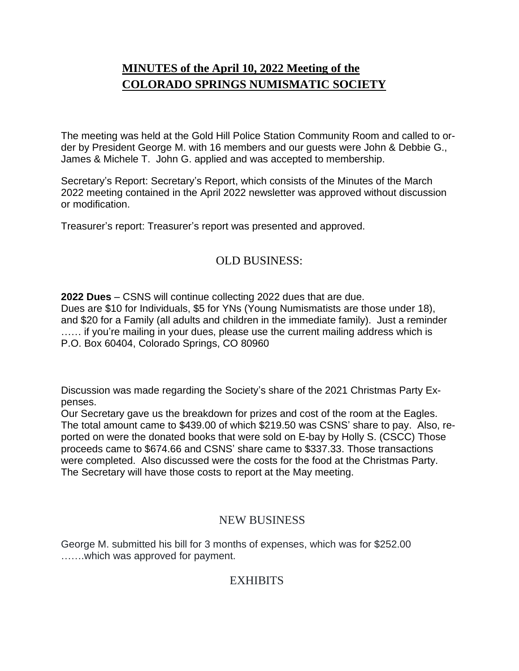## **MINUTES of the April 10, 2022 Meeting of the COLORADO SPRINGS NUMISMATIC SOCIETY**

The meeting was held at the Gold Hill Police Station Community Room and called to order by President George M. with 16 members and our guests were John & Debbie G., James & Michele T. John G. applied and was accepted to membership.

Secretary's Report: Secretary's Report, which consists of the Minutes of the March 2022 meeting contained in the April 2022 newsletter was approved without discussion or modification.

Treasurer's report: Treasurer's report was presented and approved.

### OLD BUSINESS:

**2022 Dues** – CSNS will continue collecting 2022 dues that are due. Dues are \$10 for Individuals, \$5 for YNs (Young Numismatists are those under 18),

and \$20 for a Family (all adults and children in the immediate family). Just a reminder ...... if you're mailing in your dues, please use the current mailing address which is P.O. Box 60404, Colorado Springs, CO 80960

Discussion was made regarding the Society's share of the 2021 Christmas Party Expenses.

Our Secretary gave us the breakdown for prizes and cost of the room at the Eagles. The total amount came to \$439.00 of which \$219.50 was CSNS' share to pay. Also, reported on were the donated books that were sold on E-bay by Holly S. (CSCC) Those proceeds came to \$674.66 and CSNS' share came to \$337.33. Those transactions were completed. Also discussed were the costs for the food at the Christmas Party. The Secretary will have those costs to report at the May meeting.

### NEW BUSINESS

George M. submitted his bill for 3 months of expenses, which was for \$252.00 …….which was approved for payment.

### **EXHIBITS**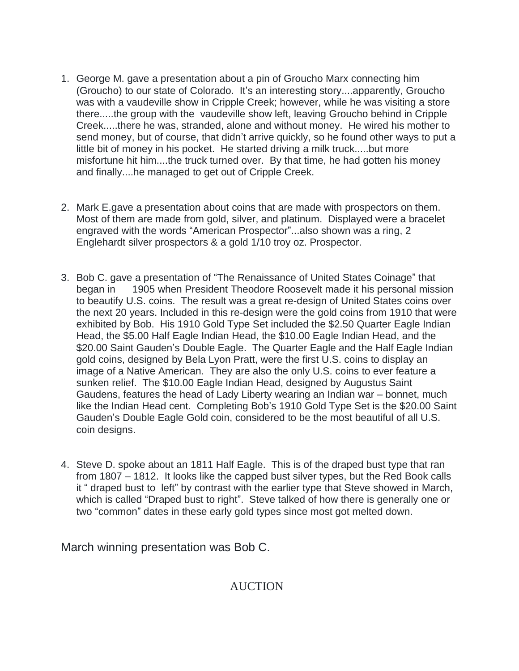- 1. George M. gave a presentation about a pin of Groucho Marx connecting him (Groucho) to our state of Colorado. It's an interesting story....apparently, Groucho was with a vaudeville show in Cripple Creek; however, while he was visiting a store there.....the group with the vaudeville show left, leaving Groucho behind in Cripple Creek.....there he was, stranded, alone and without money. He wired his mother to send money, but of course, that didn't arrive quickly, so he found other ways to put a little bit of money in his pocket. He started driving a milk truck.....but more misfortune hit him....the truck turned over. By that time, he had gotten his money and finally....he managed to get out of Cripple Creek.
- 2. Mark E.gave a presentation about coins that are made with prospectors on them. Most of them are made from gold, silver, and platinum. Displayed were a bracelet engraved with the words "American Prospector"...also shown was a ring, 2 Englehardt silver prospectors & a gold 1/10 troy oz. Prospector.
- 3. Bob C. gave a presentation of "The Renaissance of United States Coinage" that began in 1905 when President Theodore Roosevelt made it his personal mission to beautify U.S. coins. The result was a great re-design of United States coins over the next 20 years. Included in this re-design were the gold coins from 1910 that were exhibited by Bob. His 1910 Gold Type Set included the \$2.50 Quarter Eagle Indian Head, the \$5.00 Half Eagle Indian Head, the \$10.00 Eagle Indian Head, and the \$20.00 Saint Gauden's Double Eagle. The Quarter Eagle and the Half Eagle Indian gold coins, designed by Bela Lyon Pratt, were the first U.S. coins to display an image of a Native American. They are also the only U.S. coins to ever feature a sunken relief. The \$10.00 Eagle Indian Head, designed by Augustus Saint Gaudens, features the head of Lady Liberty wearing an Indian war – bonnet, much like the Indian Head cent. Completing Bob's 1910 Gold Type Set is the \$20.00 Saint Gauden's Double Eagle Gold coin, considered to be the most beautiful of all U.S. coin designs.
- 4. Steve D. spoke about an 1811 Half Eagle. This is of the draped bust type that ran from 1807 – 1812. It looks like the capped bust silver types, but the Red Book calls it " draped bust to left" by contrast with the earlier type that Steve showed in March, which is called "Draped bust to right". Steve talked of how there is generally one or two "common" dates in these early gold types since most got melted down.

March winning presentation was Bob C.

AUCTION